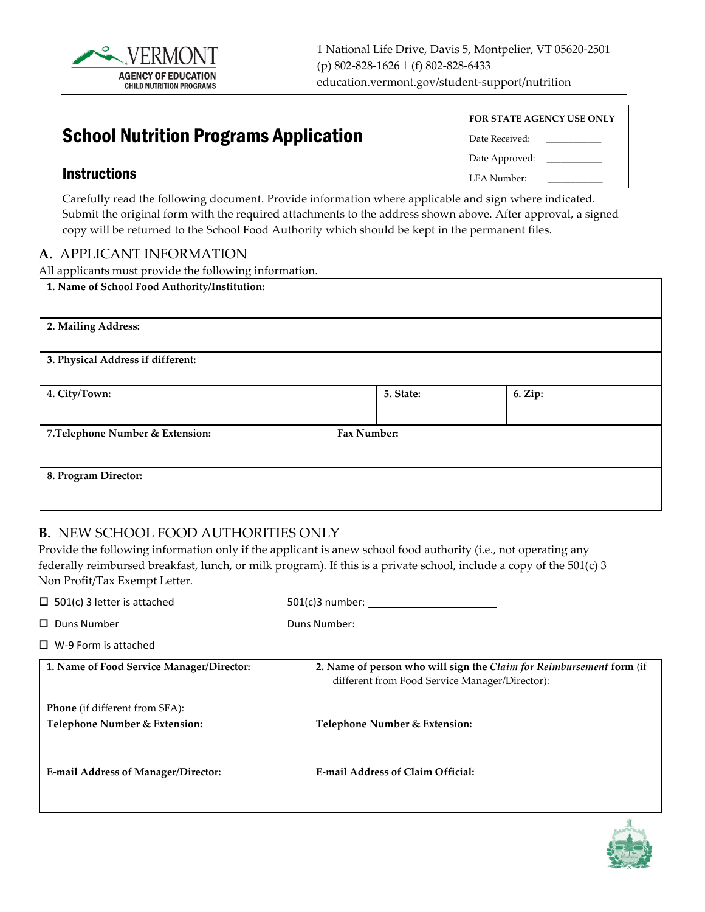

# School Nutrition Programs Application

### Instructions

| <b>FOR STATE AGENCY USE ONLY</b> |  |  |  |  |  |
|----------------------------------|--|--|--|--|--|
| Date Received:                   |  |  |  |  |  |
| Date Approved:                   |  |  |  |  |  |
| <b>LEA Number:</b>               |  |  |  |  |  |

Carefully read the following document. Provide information where applicable and sign where indicated. Submit the original form with the required attachments to the address shown above. After approval, a signed copy will be returned to the School Food Authority which should be kept in the permanent files.

### **A.** APPLICANT INFORMATION

All applicants must provide the following information.

| 1. Name of School Food Authority/Institution:   |           |         |
|-------------------------------------------------|-----------|---------|
| 2. Mailing Address:                             |           |         |
| 3. Physical Address if different:               |           |         |
| 4. City/Town:                                   | 5. State: | 6. Zip: |
| Fax Number:<br>7. Telephone Number & Extension: |           |         |
| 8. Program Director:                            |           |         |

### **B.** NEW SCHOOL FOOD AUTHORITIES ONLY

Provide the following information only if the applicant is anew school food authority (i.e., not operating any federally reimbursed breakfast, lunch, or milk program). If this is a private school, include a copy of the 501(c) 3 Non Profit/Tax Exempt Letter.

| $\Box$ 501(c) 3 letter is attached         | $501(c)$ 3 number:                                                                                                     |  |  |  |  |
|--------------------------------------------|------------------------------------------------------------------------------------------------------------------------|--|--|--|--|
| $\Box$ Duns Number                         | Duns Number: North States                                                                                              |  |  |  |  |
| $\Box$ W-9 Form is attached                |                                                                                                                        |  |  |  |  |
| 1. Name of Food Service Manager/Director:  | 2. Name of person who will sign the Claim for Reimbursement form (if<br>different from Food Service Manager/Director): |  |  |  |  |
| <b>Phone</b> (if different from SFA):      |                                                                                                                        |  |  |  |  |
| Telephone Number & Extension:              | Telephone Number & Extension:                                                                                          |  |  |  |  |
| <b>E-mail Address of Manager/Director:</b> | <b>E-mail Address of Claim Official:</b>                                                                               |  |  |  |  |

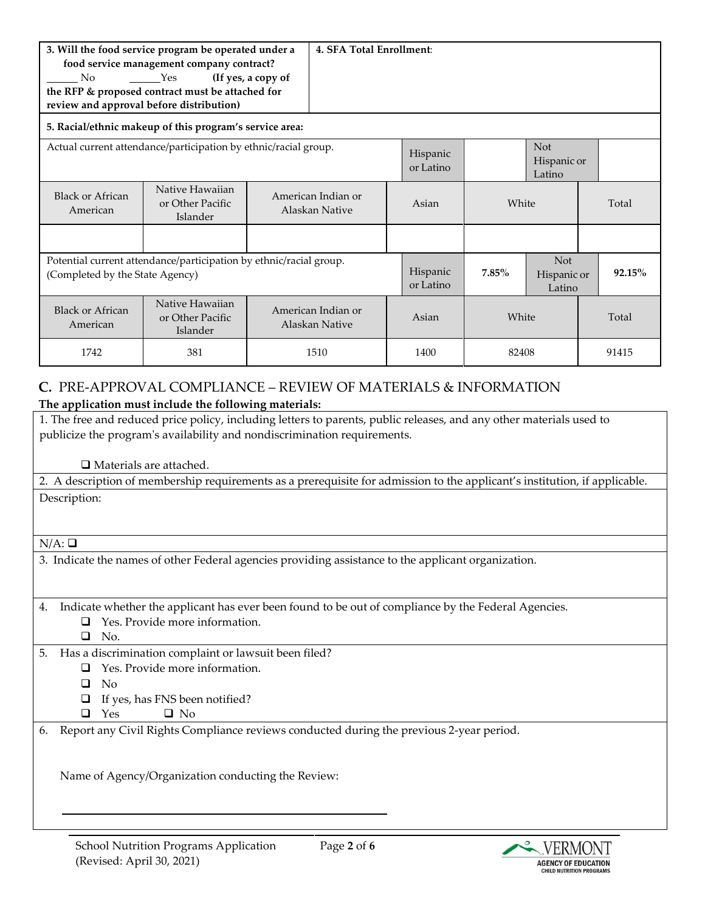| 3. Will the food service program be operated under a<br>food service management company contract?<br>(If yes, a copy of<br>Yes<br>N <sub>o</sub><br>the RFP & proposed contract must be attached for<br>review and approval before distribution) |                                                                                                       |                                      | 4. SFA Total Enrollment: |                       |                                     |                                     |       |
|--------------------------------------------------------------------------------------------------------------------------------------------------------------------------------------------------------------------------------------------------|-------------------------------------------------------------------------------------------------------|--------------------------------------|--------------------------|-----------------------|-------------------------------------|-------------------------------------|-------|
|                                                                                                                                                                                                                                                  | 5. Racial/ethnic makeup of this program's service area:                                               |                                      |                          |                       |                                     |                                     |       |
| Actual current attendance/participation by ethnic/racial group.                                                                                                                                                                                  |                                                                                                       |                                      |                          | Hispanic<br>or Latino |                                     | <b>Not</b><br>Hispanic or<br>Latino |       |
| Black or African<br>American                                                                                                                                                                                                                     | Native Hawaiian<br>or Other Pacific<br>Islander                                                       | American Indian or<br>Alaskan Native |                          | Asian                 | White                               |                                     | Total |
|                                                                                                                                                                                                                                                  |                                                                                                       |                                      |                          |                       |                                     |                                     |       |
|                                                                                                                                                                                                                                                  | Potential current attendance/participation by ethnic/racial group.<br>(Completed by the State Agency) |                                      | Hispanic<br>or Latino    | $7.85\%$              | <b>Not</b><br>Hispanic or<br>Latino | 92.15%                              |       |
| <b>Black or African</b><br>American                                                                                                                                                                                                              | Native Hawaiian<br>or Other Pacific<br>Islander                                                       | American Indian or<br>Alaskan Native |                          | Asian                 | White                               |                                     | Total |
| 1742                                                                                                                                                                                                                                             | 381                                                                                                   |                                      | 1510                     | 1400                  | 82408                               |                                     | 91415 |

# **C.** PRE-APPROVAL COMPLIANCE – REVIEW OF MATERIALS & INFORMATION **The application must include the following materials:**

| 1. The free and reduced price policy, including letters to parents, public releases, and any other materials used to       |  |  |  |  |  |  |
|----------------------------------------------------------------------------------------------------------------------------|--|--|--|--|--|--|
| publicize the program's availability and nondiscrimination requirements.                                                   |  |  |  |  |  |  |
|                                                                                                                            |  |  |  |  |  |  |
| $\Box$ Materials are attached.                                                                                             |  |  |  |  |  |  |
| 2. A description of membership requirements as a prerequisite for admission to the applicant's institution, if applicable. |  |  |  |  |  |  |
| Description:                                                                                                               |  |  |  |  |  |  |
|                                                                                                                            |  |  |  |  |  |  |
|                                                                                                                            |  |  |  |  |  |  |
| $N/A: \square$                                                                                                             |  |  |  |  |  |  |
| 3. Indicate the names of other Federal agencies providing assistance to the applicant organization.                        |  |  |  |  |  |  |
|                                                                                                                            |  |  |  |  |  |  |
|                                                                                                                            |  |  |  |  |  |  |
| Indicate whether the applicant has ever been found to be out of compliance by the Federal Agencies.<br>4.                  |  |  |  |  |  |  |
| Yes. Provide more information.<br>◻                                                                                        |  |  |  |  |  |  |
| No.<br>$\Box$                                                                                                              |  |  |  |  |  |  |
| Has a discrimination complaint or lawsuit been filed?<br>5.                                                                |  |  |  |  |  |  |
| Yes. Provide more information.<br>ப                                                                                        |  |  |  |  |  |  |
| No<br>□                                                                                                                    |  |  |  |  |  |  |
| If yes, has FNS been notified?                                                                                             |  |  |  |  |  |  |
| $\Box$ No<br>$\Box$<br>Yes                                                                                                 |  |  |  |  |  |  |
| Report any Civil Rights Compliance reviews conducted during the previous 2-year period.<br>6.                              |  |  |  |  |  |  |
|                                                                                                                            |  |  |  |  |  |  |
|                                                                                                                            |  |  |  |  |  |  |
| Name of Agency/Organization conducting the Review:                                                                         |  |  |  |  |  |  |
|                                                                                                                            |  |  |  |  |  |  |
|                                                                                                                            |  |  |  |  |  |  |
|                                                                                                                            |  |  |  |  |  |  |

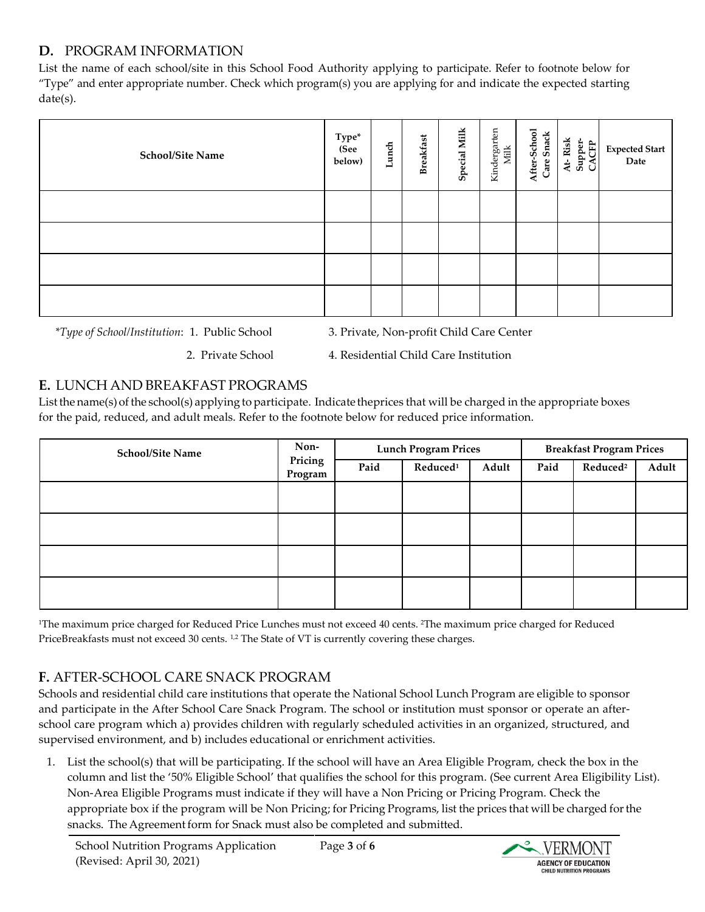# **D.** PROGRAM INFORMATION

List the name of each school/site in this School Food Authority applying to participate. Refer to footnote below for "Type" and enter appropriate number. Check which program(s) you are applying for and indicate the expected starting date(s).

| <b>School/Site Name</b> | ${\rm Type^*}\atop ({\rm See}$<br>below) | Lunch | <b>Breakfast</b> | <b>Special Milk</b> | Kindergarten<br><b>Milk</b> | After-School<br>Care Snack | At-Risk<br>Supper-<br>CACFP | Expected Start<br>Date |
|-------------------------|------------------------------------------|-------|------------------|---------------------|-----------------------------|----------------------------|-----------------------------|------------------------|
|                         |                                          |       |                  |                     |                             |                            |                             |                        |
|                         |                                          |       |                  |                     |                             |                            |                             |                        |
|                         |                                          |       |                  |                     |                             |                            |                             |                        |
|                         |                                          |       |                  |                     |                             |                            |                             |                        |

*\*Type of School/Institution*: 1. Public School 3. Private, Non-profit Child Care Center

2. Private School 4. Residential Child Care Institution

## **E.** LUNCH AND BREAKFAST PROGRAMS

List the name(s) of the school(s) applying to participate. Indicate theprices that will be charged in the appropriate boxes for the paid, reduced, and adult meals. Refer to the footnote below for reduced price information.

| <b>School/Site Name</b> | Non-               |      | <b>Lunch Program Prices</b> |       |      | <b>Breakfast Program Prices</b> |       |
|-------------------------|--------------------|------|-----------------------------|-------|------|---------------------------------|-------|
|                         | Pricing<br>Program | Paid | Reduced <sup>1</sup>        | Adult | Paid | Reduced <sup>2</sup>            | Adult |
|                         |                    |      |                             |       |      |                                 |       |
|                         |                    |      |                             |       |      |                                 |       |
|                         |                    |      |                             |       |      |                                 |       |
|                         |                    |      |                             |       |      |                                 |       |

1The maximum price charged for Reduced Price Lunches must not exceed 40 cents. 2The maximum price charged for Reduced PriceBreakfasts must not exceed 30 cents. <sup>1,2</sup> The State of VT is currently covering these charges.

# **F.** AFTER-SCHOOL CARE SNACK PROGRAM

Schools and residential child care institutions that operate the National School Lunch Program are eligible to sponsor and participate in the After School Care Snack Program. The school or institution must sponsor or operate an afterschool care program which a) provides children with regularly scheduled activities in an organized, structured, and supervised environment, and b) includes educational or enrichment activities.

1. List the school(s) that will be participating. If the school will have an Area Eligible Program, check the box in the column and list the '50% Eligible School' that qualifies the school for this program. (See current Area Eligibility List). Non-Area Eligible Programs must indicate if they will have a Non Pricing or Pricing Program. Check the appropriate box if the program will be Non Pricing; for Pricing Programs, list the prices that will be charged forthe snacks. The Agreement form for Snack must also be completed and submitted.

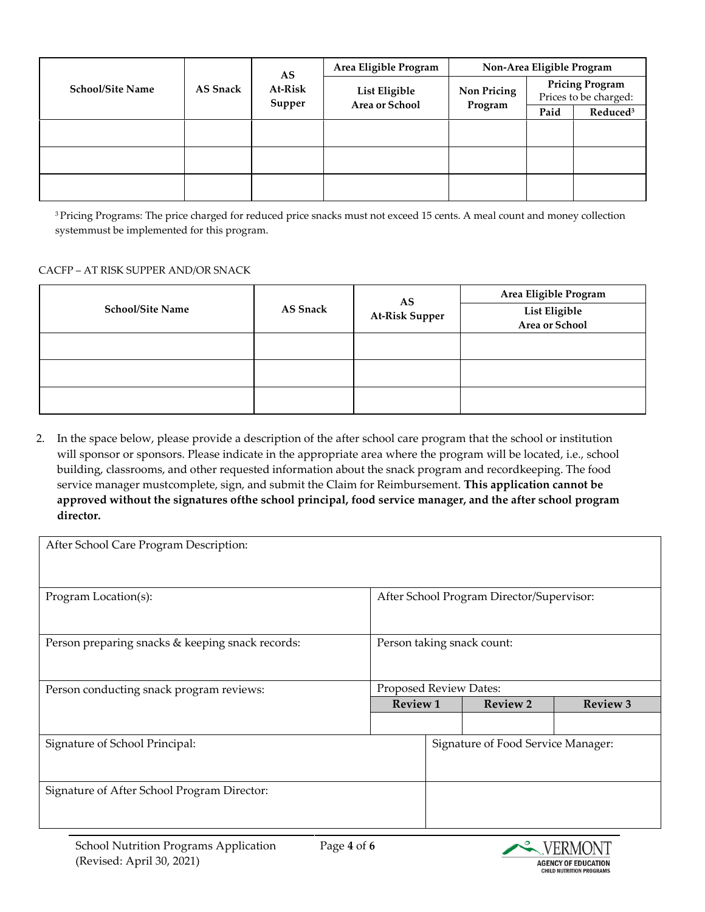|                         |                            | AS     | Area Eligible Program | Non-Area Eligible Program |                                                 |  |  |
|-------------------------|----------------------------|--------|-----------------------|---------------------------|-------------------------------------------------|--|--|
| <b>School/Site Name</b> | <b>AS Snack</b><br>At-Risk | Supper | List Eligible         | Non Pricing               | <b>Pricing Program</b><br>Prices to be charged: |  |  |
| Area or School          | Program                    | Paid   | Reduced <sup>3</sup>  |                           |                                                 |  |  |
|                         |                            |        |                       |                           |                                                 |  |  |
|                         |                            |        |                       |                           |                                                 |  |  |
|                         |                            |        |                       |                           |                                                 |  |  |
|                         |                            |        |                       |                           |                                                 |  |  |
|                         |                            |        |                       |                           |                                                 |  |  |
|                         |                            |        |                       |                           |                                                 |  |  |

3 Pricing Programs: The price charged for reduced price snacks must not exceed 15 cents. A meal count and money collection systemmust be implemented for this program.

#### CACFP – AT RISK SUPPER AND/OR SNACK

|                         |                 | AS                    | Area Eligible Program           |  |  |  |
|-------------------------|-----------------|-----------------------|---------------------------------|--|--|--|
| <b>School/Site Name</b> | <b>AS Snack</b> | <b>At-Risk Supper</b> | List Eligible<br>Area or School |  |  |  |
|                         |                 |                       |                                 |  |  |  |
|                         |                 |                       |                                 |  |  |  |
|                         |                 |                       |                                 |  |  |  |
|                         |                 |                       |                                 |  |  |  |

2. In the space below, please provide a description of the after school care program that the school or institution will sponsor or sponsors. Please indicate in the appropriate area where the program will be located, i.e., school building, classrooms, and other requested information about the snack program and recordkeeping. The food service manager mustcomplete, sign, and submit the Claim for Reimbursement. **This application cannot be approved without the signatures ofthe school principal, food service manager, and the after school program director.**

| After School Care Program Description:           |                                           |                        |                                    |                 |  |  |
|--------------------------------------------------|-------------------------------------------|------------------------|------------------------------------|-----------------|--|--|
| Program Location(s):                             | After School Program Director/Supervisor: |                        |                                    |                 |  |  |
| Person preparing snacks & keeping snack records: | Person taking snack count:                |                        |                                    |                 |  |  |
| Person conducting snack program reviews:         |                                           | Proposed Review Dates: |                                    |                 |  |  |
|                                                  | <b>Review 1</b>                           |                        | <b>Review 2</b>                    | <b>Review 3</b> |  |  |
|                                                  |                                           |                        |                                    |                 |  |  |
| Signature of School Principal:                   |                                           |                        | Signature of Food Service Manager: |                 |  |  |
| Signature of After School Program Director:      |                                           |                        |                                    |                 |  |  |

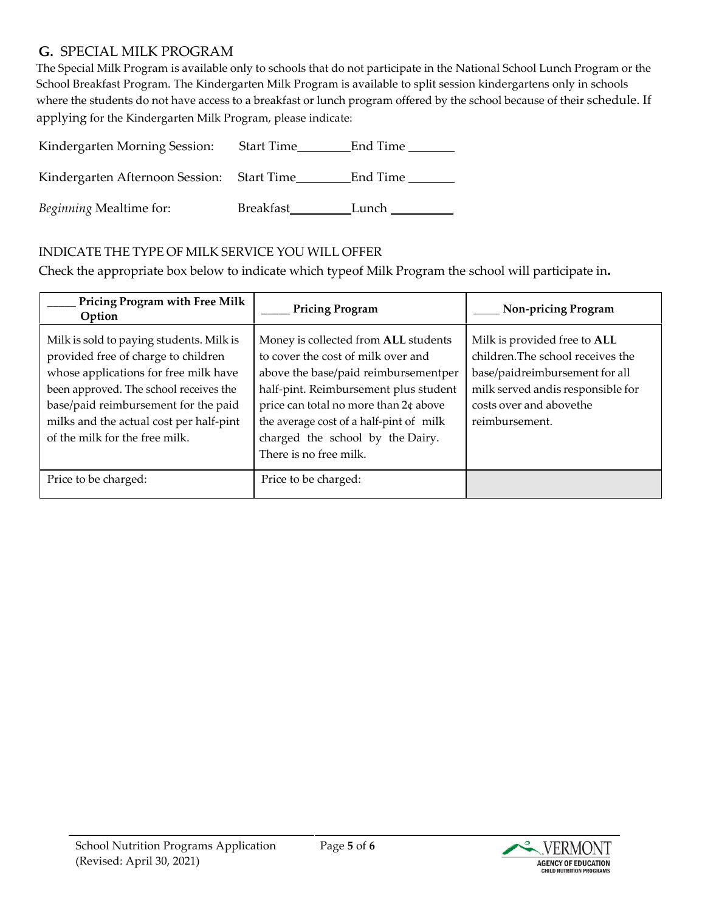### **G.** SPECIAL MILK PROGRAM

The Special Milk Program is available only to schools that do not participate in the National School Lunch Program or the School Breakfast Program. The Kindergarten Milk Program is available to split session kindergartens only in schools where the students do not have access to a breakfast or lunch program offered by the school because of their schedule. If applying for the Kindergarten Milk Program, please indicate:

| Kindergarten Morning Session:              | <b>Start Time</b> | End Time |
|--------------------------------------------|-------------------|----------|
| Kindergarten Afternoon Session: Start Time |                   | End Time |
| Beginning Mealtime for:                    | Breakfast         | Lunch    |

### INDICATE THE TYPE OF MILK SERVICE YOU WILL OFFER

Check the appropriate box below to indicate which typeof Milk Program the school will participate in**.**

| <b>Pricing Program with Free Milk</b><br>Option                                                                                                                                                                                                                                         | <b>Pricing Program</b>                                                                                                                                                                                                                                                                                        | <b>Non-pricing Program</b>                                                                                                                                                            |
|-----------------------------------------------------------------------------------------------------------------------------------------------------------------------------------------------------------------------------------------------------------------------------------------|---------------------------------------------------------------------------------------------------------------------------------------------------------------------------------------------------------------------------------------------------------------------------------------------------------------|---------------------------------------------------------------------------------------------------------------------------------------------------------------------------------------|
| Milk is sold to paying students. Milk is<br>provided free of charge to children<br>whose applications for free milk have<br>been approved. The school receives the<br>base/paid reimbursement for the paid<br>milks and the actual cost per half-pint<br>of the milk for the free milk. | Money is collected from ALL students<br>to cover the cost of milk over and<br>above the base/paid reimbursementper<br>half-pint. Reimbursement plus student<br>price can total no more than 2¢ above<br>the average cost of a half-pint of milk<br>charged the school by the Dairy.<br>There is no free milk. | Milk is provided free to ALL<br>children. The school receives the<br>base/paidreimbursement for all<br>milk served andis responsible for<br>costs over and abovethe<br>reimbursement. |
| Price to be charged:                                                                                                                                                                                                                                                                    | Price to be charged:                                                                                                                                                                                                                                                                                          |                                                                                                                                                                                       |